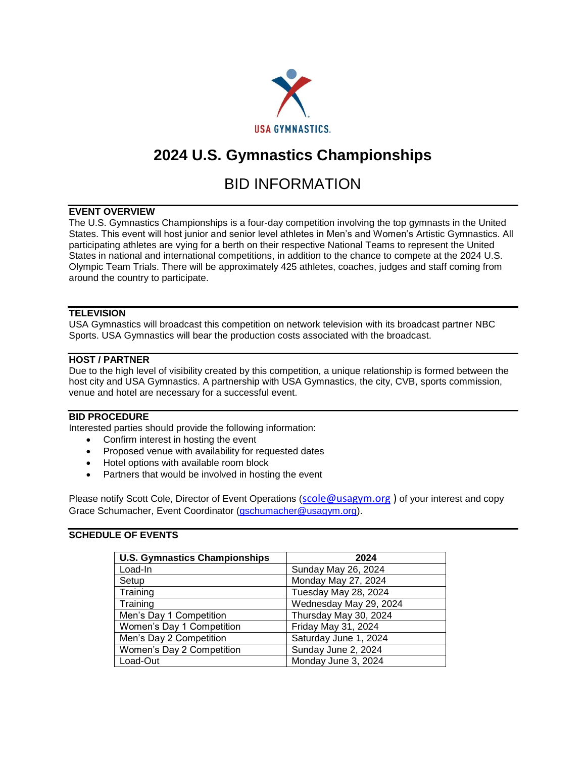

# **2024 U.S. Gymnastics Championships**

# BID INFORMATION

# **EVENT OVERVIEW**

The U.S. Gymnastics Championships is a four-day competition involving the top gymnasts in the United States. This event will host junior and senior level athletes in Men's and Women's Artistic Gymnastics. All participating athletes are vying for a berth on their respective National Teams to represent the United States in national and international competitions, in addition to the chance to compete at the 2024 U.S. Olympic Team Trials. There will be approximately 425 athletes, coaches, judges and staff coming from around the country to participate.

## **TELEVISION**

USA Gymnastics will broadcast this competition on network television with its broadcast partner NBC Sports. USA Gymnastics will bear the production costs associated with the broadcast.

## **HOST / PARTNER**

Due to the high level of visibility created by this competition, a unique relationship is formed between the host city and USA Gymnastics. A partnership with USA Gymnastics, the city, CVB, sports commission, venue and hotel are necessary for a successful event.

## **BID PROCEDURE**

Interested parties should provide the following information:

- Confirm interest in hosting the event
- Proposed venue with availability for requested dates
- Hotel options with available room block
- Partners that would be involved in hosting the event

Please notify Scott Cole, Director of Event Operations ([scole@usagym.org](mailto:scole@usagym.org)) of your interest and copy Grace Schumacher, Event Coordinator [\(gschumacher@usagym.org\)](mailto:gschumacher@usagym.org).

#### **SCHEDULE OF EVENTS**

| <b>U.S. Gymnastics Championships</b> | 2024                   |  |  |  |  |
|--------------------------------------|------------------------|--|--|--|--|
| Load-In                              | Sunday May 26, 2024    |  |  |  |  |
| Setup                                | Monday May 27, 2024    |  |  |  |  |
| Training                             | Tuesday May 28, 2024   |  |  |  |  |
| Training                             | Wednesday May 29, 2024 |  |  |  |  |
| Men's Day 1 Competition              | Thursday May 30, 2024  |  |  |  |  |
| Women's Day 1 Competition            | Friday May 31, 2024    |  |  |  |  |
| Men's Day 2 Competition              | Saturday June 1, 2024  |  |  |  |  |
| Women's Day 2 Competition            | Sunday June 2, 2024    |  |  |  |  |
| Load-Out                             | Monday June 3, 2024    |  |  |  |  |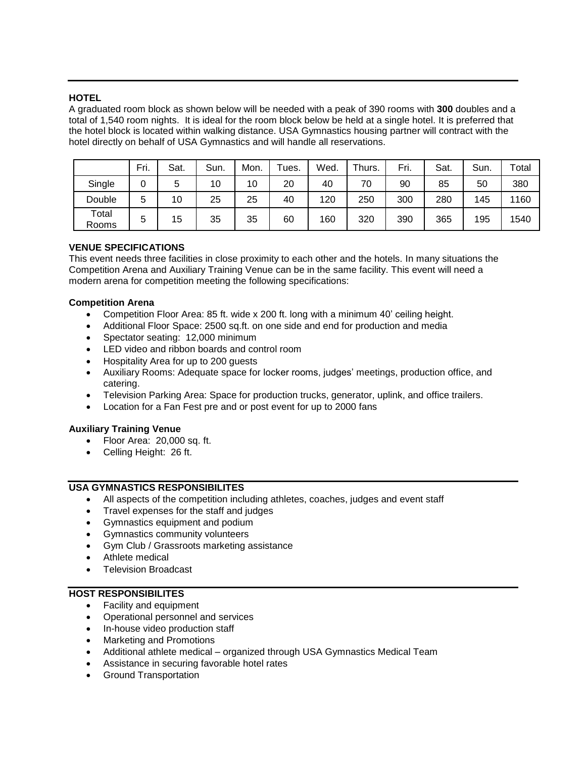## **HOTEL**

A graduated room block as shown below will be needed with a peak of 390 rooms with **300** doubles and a total of 1,540 room nights. It is ideal for the room block below be held at a single hotel. It is preferred that the hotel block is located within walking distance. USA Gymnastics housing partner will contract with the hotel directly on behalf of USA Gymnastics and will handle all reservations.

|                | Fri. | Sat. | Sun. | Mon. | ⊺ues. | Wed. | Thurs. | Fri. | Sat. | Sun. | Total |
|----------------|------|------|------|------|-------|------|--------|------|------|------|-------|
| Single         | 0    |      | 10   | 10   | 20    | 40   | 70     | 90   | 85   | 50   | 380   |
| Double         | 5    | 10   | 25   | 25   | 40    | 120  | 250    | 300  | 280  | 145  | 1160  |
| Total<br>Rooms | 5    | 15   | 35   | 35   | 60    | 160  | 320    | 390  | 365  | 195  | 1540  |

# **VENUE SPECIFICATIONS**

This event needs three facilities in close proximity to each other and the hotels. In many situations the Competition Arena and Auxiliary Training Venue can be in the same facility. This event will need a modern arena for competition meeting the following specifications:

## **Competition Arena**

- Competition Floor Area: 85 ft. wide x 200 ft. long with a minimum 40' ceiling height.
- Additional Floor Space: 2500 sq.ft. on one side and end for production and media
- Spectator seating: 12,000 minimum
- LED video and ribbon boards and control room
- Hospitality Area for up to 200 guests
- Auxiliary Rooms: Adequate space for locker rooms, judges' meetings, production office, and catering.
- Television Parking Area: Space for production trucks, generator, uplink, and office trailers.
- Location for a Fan Fest pre and or post event for up to 2000 fans

#### **Auxiliary Training Venue**

- Floor Area: 20,000 sq. ft.
- Celling Height: 26 ft.

## **USA GYMNASTICS RESPONSIBILITES**

- All aspects of the competition including athletes, coaches, judges and event staff
- Travel expenses for the staff and judges
- Gymnastics equipment and podium
- Gymnastics community volunteers
- Gym Club / Grassroots marketing assistance
- Athlete medical
- Television Broadcast

#### **HOST RESPONSIBILITES**

- Facility and equipment
- Operational personnel and services
- In-house video production staff
- Marketing and Promotions
- Additional athlete medical organized through USA Gymnastics Medical Team
- Assistance in securing favorable hotel rates
- Ground Transportation